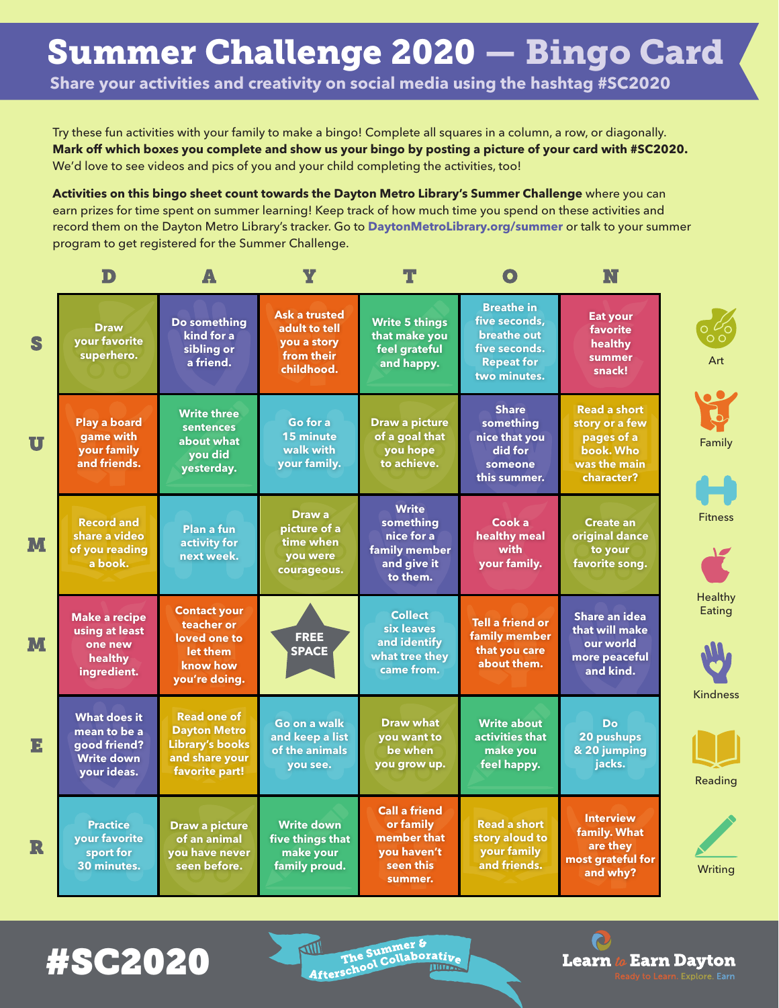**Share your activities and creativity on social media using the hashtag #SC2020**

Try these fun activities with your family to make a bingo! Complete all squares in a column, a row, or diagonally. **Mark off which boxes you complete and show us your bingo by posting a picture of your card with #SC2020.**  We'd love to see videos and pics of you and your child completing the activities, too!

**Activities on this bingo sheet count towards the Dayton Metro Library's Summer Challenge** where you can earn prizes for time spent on summer learning! Keep track of how much time you spend on these activities and record them on the Dayton Metro Library's tracker. Go to **DaytonMetroLibrary.org/summer** or talk to your summer program to get registered for the Summer Challenge.

|              | D                                                                                       |                                                                                                         | Ÿ                                                                                |                                                                                         |                                                                                                                | N                                                                                              |                     |
|--------------|-----------------------------------------------------------------------------------------|---------------------------------------------------------------------------------------------------------|----------------------------------------------------------------------------------|-----------------------------------------------------------------------------------------|----------------------------------------------------------------------------------------------------------------|------------------------------------------------------------------------------------------------|---------------------|
| S            | <b>Draw</b><br>your favorite<br>superhero.                                              | Do something<br>kind for a<br>sibling or<br>a friend.                                                   | <b>Ask a trusted</b><br>adult to tell<br>you a story<br>from their<br>childhood. | <b>Write 5 things</b><br>that make you<br>feel grateful<br>and happy.                   | <b>Breathe in</b><br>five seconds.<br><b>breathe out</b><br>five seconds.<br><b>Repeat for</b><br>two minutes. | <b>Eat your</b><br>favorite<br>healthy<br>summer<br>snack!                                     | Art                 |
| $\mathbf{U}$ | <b>Play a board</b><br>game with<br>your family<br>and friends.                         | <b>Write three</b><br>sentences<br>about what<br><b>vou did</b><br>yesterday.                           | Go for a<br><b>15 minute</b><br>walk with<br>your family.                        | <b>Draw a picture</b><br>of a goal that<br>you hope<br>to achieve.                      | <b>Share</b><br>something<br>nice that you<br>did for<br>someone<br>this summer.                               | <b>Read a short</b><br>story or a few<br>pages of a<br>book. Who<br>was the main<br>character? | Family              |
| M            | <b>Record and</b><br>share a video<br>of you reading<br>a book.                         | <b>Plan a fun</b><br>activity for<br>next week.                                                         | Draw a<br>picture of a<br>time when<br>you were<br>courageous.                   | <b>Write</b><br>something<br>nice for a<br>family member<br>and give it<br>to them.     | Cook a<br>healthy meal<br>with<br>your family.                                                                 | <b>Create an</b><br>original dance<br>to your<br>favorite song.                                | <b>Fitness</b>      |
| M            | <b>Make a recipe</b><br>using at least<br>one new<br>healthy<br>ingredient.             | <b>Contact your</b><br>teacher or<br>loved one to<br>let them<br>know how<br>you're doing.              | <b>FREE</b><br><b>SPACE</b>                                                      | <b>Collect</b><br>six leaves<br>and identify<br>what tree they<br>came from.            | <b>Tell a friend or</b><br>family member<br>that you care<br>about them.                                       | <b>Share an idea</b><br>that will make<br>our world<br>more peaceful<br>and kind.              | Healthy<br>Eating   |
| E            | <b>What does it</b><br>mean to be a<br>good friend?<br><b>Write down</b><br>vour ideas. | <b>Read one of</b><br><b>Dayton Metro</b><br><b>Library's books</b><br>and share your<br>favorite part! | Go on a walk<br>and keep a list<br>of the animals<br>you see.                    | <b>Draw what</b><br>you want to<br>be when<br>you grow up.                              | <b>Write about</b><br>activities that<br>make you<br>feel happy.                                               | Do<br>20 pushups<br>& 20 jumping<br>jacks.                                                     | Kindness<br>Reading |
| R            | <b>Practice</b><br>your favorite<br>sport for<br>30 minutes.                            | <b>Draw a picture</b><br>of an animal<br>you have never<br>seen before.                                 | <b>Write down</b><br>five things that<br>make your<br>family proud.              | <b>Call a friend</b><br>or family<br>member that<br>you haven't<br>seen this<br>summer. | <b>Read a short</b><br>story aloud to<br>your family<br>and friends.                                           | <b>Interview</b><br>family. What<br>are they<br>most grateful for<br>and why?                  | Writing             |